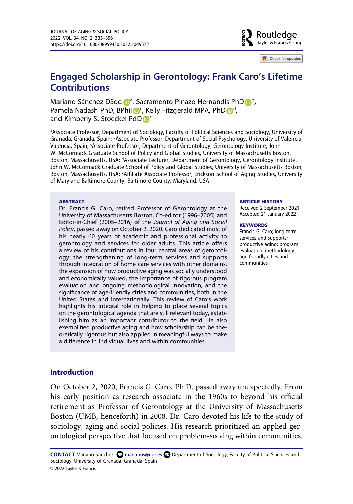**B** Routledge Taylor & Francis Group

Check for updates

# **Engaged Scholarship in Gerontology: Frank Caro's Lifetime Contributions**

Mariano Sánchez DSoc[.](http://orcid.org/0000-0002-1129-9525) D<sup>[a](#page-0-0)</sup>, Sacramento Pinazo-Hernandis Ph[D](http://orcid.org/0000-0003-4364-4730) D<sup>[b](#page-0-1)</sup>, Pamela Nadash PhD, BPhil D<sup>[c](#page-0-2)</sup>, Kelly Fitzgeral[d](#page-0-3) MPA, PhD D<sup>d</sup>, and Kimberly S. Stoeckel Pd[D](http://orcid.org/0000-0003-4981-493X) <sup>[e](#page-0-4)</sup>

<span id="page-0-3"></span><span id="page-0-2"></span><span id="page-0-1"></span><span id="page-0-0"></span>a Associate Professor, Department of Sociology, Faculty of Political Sciences and Sociology, University of Granada, Granada, Spain; <sup>b</sup>Associate Professor, Department of Social Psychology, University of Valencia, Valencia, Spain; <sup>c</sup>Associate Professor, Department of Gerontology, Gerontology Institute, John W. McCormack Graduate School of Policy and Global Studies, University of Massachusetts Boston, Boston, Massachusetts, USA; <sup>d</sup>Associate Lecturer, Department of Gerontology, Gerontology Institute, John W. McCormack Graduate School of Policy and Global Studies, University of Massachusetts Boston, Boston, Massachusetts, USA; <sup>e</sup>Affiliate Associate Professor, Erickson School of Aging Studies, University of Maryland Baltimore County, Baltimore County, Maryland, USA

#### <span id="page-0-4"></span>**ABSTRACT**

Dr. Francis G. Caro, retired Professor of Gerontology at the University of Massachusetts Boston, Co-editor (1996–2005) and Editor-in-Chief (2005–2016) of the *Journal of Aging and Social Policy*, passed away on October 2, 2020. Caro dedicated most of his nearly 60 years of academic and professional activity to gerontology and services for older adults. This article offers a review of his contributions in four central areas of gerontology: the strengthening of long-term services and supports through integration of home care services with other domains, the expansion of how productive aging was socially understood and economically valued, the importance of rigorous program evaluation and ongoing methodological innovation, and the significance of age-friendly cities and communities, both in the United States and internationally. This review of Caro's work highlights his integral role in helping to place several topics on the gerontological agenda that are still relevant today, establishing him as an important contributor to the field. He also exemplified productive aging and how scholarship can be theoretically rigorous but also applied in meaningful ways to make a difference in individual lives and within communities.

#### **ARTICLE HISTORY**

Received 2 September 2021 Accepted 21 January 2022

#### **KEYWORDS**

Francis G. Caro; long-term services and supports; productive aging; program evaluation; methodology; age-friendly cities and communities

#### **Introduction**

On October 2, 2020, Francis G. Caro, Ph.D. passed away unexpectedly. From his early position as research associate in the 1960s to beyond his official retirement as Professor of Gerontology at the University of Massachusetts Boston (UMB, henceforth) in 2008, Dr. Caro devoted his life to the study of sociology, aging and social policies. His research prioritized an applied gerontological perspective that focused on problem-solving within communities.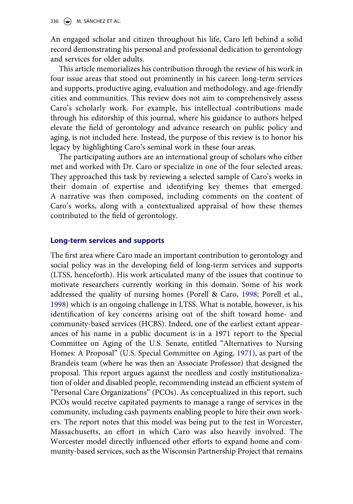An engaged scholar and citizen throughout his life, Caro left behind a solid record demonstrating his personal and professional dedication to gerontology and services for older adults.

This article memorializes his contribution through the review of his work in four issue areas that stood out prominently in his career: long-term services and supports, productive aging, evaluation and methodology, and age-friendly cities and communities. This review does not aim to comprehensively assess Caro's scholarly work. For example, his intellectual contributions made through his editorship of this journal, where his guidance to authors helped elevate the field of gerontology and advance research on public policy and aging, is not included here. Instead, the purpose of this review is to honor his legacy by highlighting Caro's seminal work in these four areas.

The participating authors are an international group of scholars who either met and worked with Dr. Caro or specialize in one of the four selected areas. They approached this task by reviewing a selected sample of Caro's works in their domain of expertise and identifying key themes that emerged. A narrative was then composed, including comments on the content of Caro's works, along with a contextualized appraisal of how these themes contributed to the field of gerontology.

### **Long-term services and supports**

<span id="page-1-1"></span><span id="page-1-0"></span>The first area where Caro made an important contribution to gerontology and social policy was in the developing field of long-term services and supports (LTSS, henceforth). His work articulated many of the issues that continue to motivate researchers currently working in this domain. Some of his work addressed the quality of nursing homes (Porell & Caro, [1998;](#page-20-0) Porell et al., [1998](#page-20-0)) which is an ongoing challenge in LTSS. What is notable, however, is his identification of key concerns arising out of the shift toward home- and community-based services (HCBS). Indeed, one of the earliest extant appearances of his name in a public document is in a 1971 report to the Special Committee on Aging of the U.S. Senate, entitled "Alternatives to Nursing Homes: A Proposal" (U.S. Special Committee on Aging, [1971](#page-21-0)), as part of the Brandeis team (where he was then an Associate Professor) that designed the proposal. This report argues against the needless and costly institutionalization of older and disabled people, recommending instead an efficient system of "Personal Care Organizations" (PCOs). As conceptualized in this report, such PCOs would receive capitated payments to manage a range of services in the community, including cash payments enabling people to hire their own workers. The report notes that this model was being put to the test in Worcester, Massachusetts, an effort in which Caro was also heavily involved. The Worcester model directly influenced other efforts to expand home and community-based services, such as the Wisconsin Partnership Project that remains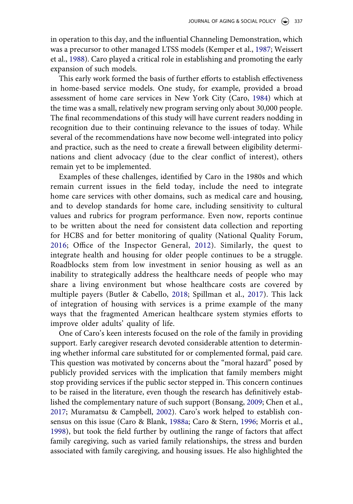<span id="page-2-8"></span><span id="page-2-4"></span>in operation to this day, and the influential Channeling Demonstration, which was a precursor to other managed LTSS models (Kemper et al., [1987;](#page-19-0) Weissert et al., [1988\)](#page-21-1). Caro played a critical role in establishing and promoting the early expansion of such models.

<span id="page-2-2"></span>This early work formed the basis of further efforts to establish effectiveness in home-based service models. One study, for example, provided a broad assessment of home care services in New York City (Caro, [1984\)](#page-18-0) which at the time was a small, relatively new program serving only about 30,000 people. The final recommendations of this study will have current readers nodding in recognition due to their continuing relevance to the issues of today. While several of the recommendations have now become well-integrated into policy and practice, such as the need to create a firewall between eligibility determinations and client advocacy (due to the clear conflict of interest), others remain yet to be implemented.

<span id="page-2-7"></span><span id="page-2-6"></span>Examples of these challenges, identified by Caro in the 1980s and which remain current issues in the field today, include the need to integrate home care services with other domains, such as medical care and housing, and to develop standards for home care, including sensitivity to cultural values and rubrics for program performance. Even now, reports continue to be written about the need for consistent data collection and reporting for HCBS and for better monitoring of quality (National Quality Forum, [2016](#page-20-1); Office of the Inspector General, [2012](#page-20-2)). Similarly, the quest to integrate health and housing for older people continues to be a struggle. Roadblocks stem from low investment in senior housing as well as an inability to strategically address the healthcare needs of people who may share a living environment but whose healthcare costs are covered by multiple payers (Butler & Cabello, [2018;](#page-18-1) Spillman et al., [2017](#page-21-2)). This lack of integration of housing with services is a prime example of the many ways that the fragmented American healthcare system stymies efforts to improve older adults' quality of life.

<span id="page-2-5"></span><span id="page-2-3"></span><span id="page-2-1"></span><span id="page-2-0"></span>One of Caro's keen interests focused on the role of the family in providing support. Early caregiver research devoted considerable attention to determining whether informal care substituted for or complemented formal, paid care. This question was motivated by concerns about the "moral hazard" posed by publicly provided services with the implication that family members might stop providing services if the public sector stepped in. This concern continues to be raised in the literature, even though the research has definitively established the complementary nature of such support (Bonsang, [2009](#page-18-2); Chen et al., [2017](#page-19-1); Muramatsu & Campbell, [2002](#page-20-3)). Caro's work helped to establish consensus on this issue (Caro & Blank, [1988a](#page-18-3); Caro & Stern, [1996](#page-19-2); Morris et al., [1998](#page-19-3)), but took the field further by outlining the range of factors that affect family caregiving, such as varied family relationships, the stress and burden associated with family caregiving, and housing issues. He also highlighted the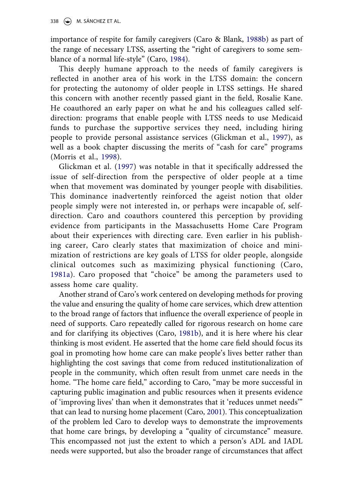<span id="page-3-3"></span>importance of respite for family caregivers (Caro & Blank, [1988b\)](#page-18-4) as part of the range of necessary LTSS, asserting the "right of caregivers to some semblance of a normal life-style" (Caro, [1984\)](#page-18-0).

This deeply humane approach to the needs of family caregivers is reflected in another area of his work in the LTSS domain: the concern for protecting the autonomy of older people in LTSS settings. He shared this concern with another recently passed giant in the field, Rosalie Kane. He coauthored an early paper on what he and his colleagues called selfdirection: programs that enable people with LTSS needs to use Medicaid funds to purchase the supportive services they need, including hiring people to provide personal assistance services (Glickman et al., [1997](#page-19-4)), as well as a book chapter discussing the merits of "cash for care" programs (Morris et al., [1998\)](#page-20-4).

<span id="page-3-5"></span><span id="page-3-4"></span>Glickman et al. ([1997\)](#page-19-4) was notable in that it specifically addressed the issue of self-direction from the perspective of older people at a time when that movement was dominated by younger people with disabilities. This dominance inadvertently reinforced the ageist notion that older people simply were not interested in, or perhaps were incapable of, selfdirection. Caro and coauthors countered this perception by providing evidence from participants in the Massachusetts Home Care Program about their experiences with directing care. Even earlier in his publishing career, Caro clearly states that maximization of choice and minimization of restrictions are key goals of LTSS for older people, alongside clinical outcomes such as maximizing physical functioning (Caro, [1981a](#page-18-5)). Caro proposed that "choice" be among the parameters used to assess home care quality.

<span id="page-3-2"></span><span id="page-3-1"></span><span id="page-3-0"></span>Another strand of Caro's work centered on developing methods for proving the value and ensuring the quality of home care services, which drew attention to the broad range of factors that influence the overall experience of people in need of supports. Caro repeatedly called for rigorous research on home care and for clarifying its objectives (Caro, [1981b](#page-18-6)), and it is here where his clear thinking is most evident. He asserted that the home care field should focus its goal in promoting how home care can make people's lives better rather than highlighting the cost savings that come from reduced institutionalization of people in the community, which often result from unmet care needs in the home. "The home care field," according to Caro, "may be more successful in capturing public imagination and public resources when it presents evidence of 'improving lives' than when it demonstrates that it 'reduces unmet needs'" that can lead to nursing home placement (Caro, [2001](#page-18-7)). This conceptualization of the problem led Caro to develop ways to demonstrate the improvements that home care brings, by developing a "quality of circumstance" measure. This encompassed not just the extent to which a person's ADL and IADL needs were supported, but also the broader range of circumstances that affect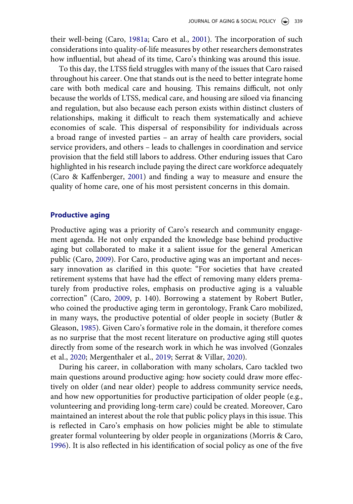<span id="page-4-2"></span>their well-being (Caro, [1981a;](#page-18-5) Caro et al., [2001](#page-18-8)). The incorporation of such considerations into quality-of-life measures by other researchers demonstrates how influential, but ahead of its time, Caro's thinking was around this issue.

To this day, the LTSS field struggles with many of the issues that Caro raised throughout his career. One that stands out is the need to better integrate home care with both medical care and housing. This remains difficult, not only because the worlds of LTSS, medical care, and housing are siloed via financing and regulation, but also because each person exists within distinct clusters of relationships, making it difficult to reach them systematically and achieve economies of scale. This dispersal of responsibility for individuals across a broad range of invested parties – an array of health care providers, social service providers, and others – leads to challenges in coordination and service provision that the field still labors to address. Other enduring issues that Caro highlighted in his research include paying the direct care workforce adequately (Caro & Kaffenberger, [2001\)](#page-19-5) and finding a way to measure and ensure the quality of home care, one of his most persistent concerns in this domain.

# <span id="page-4-3"></span>**Productive aging**

<span id="page-4-1"></span>Productive aging was a priority of Caro's research and community engagement agenda. He not only expanded the knowledge base behind productive aging but collaborated to make it a salient issue for the general American public (Caro, [2009\)](#page-18-9). For Caro, productive aging was an important and necessary innovation as clarified in this quote: "For societies that have created retirement systems that have had the effect of removing many elders prematurely from productive roles, emphasis on productive aging is a valuable correction" (Caro, [2009](#page-18-9), p. 140). Borrowing a statement by Robert Butler, who coined the productive aging term in gerontology, Frank Caro mobilized, in many ways, the productive potential of older people in society (Butler & Gleason, [1985\)](#page-18-10). Given Caro's formative role in the domain, it therefore comes as no surprise that the most recent literature on productive aging still quotes directly from some of the research work in which he was involved (Gonzales et al., [2020](#page-19-6); Mergenthaler et al., [2019](#page-19-7); Serrat & Villar, [2020](#page-21-3)).

<span id="page-4-5"></span><span id="page-4-4"></span><span id="page-4-0"></span>During his career, in collaboration with many scholars, Caro tackled two main questions around productive aging: how society could draw more effectively on older (and near older) people to address community service needs, and how new opportunities for productive participation of older people (e.g., volunteering and providing long-term care) could be created. Moreover, Caro maintained an interest about the role that public policy plays in this issue. This is reflected in Caro's emphasis on how policies might be able to stimulate greater formal volunteering by older people in organizations (Morris & Caro, [1996](#page-19-8)). It is also reflected in his identification of social policy as one of the five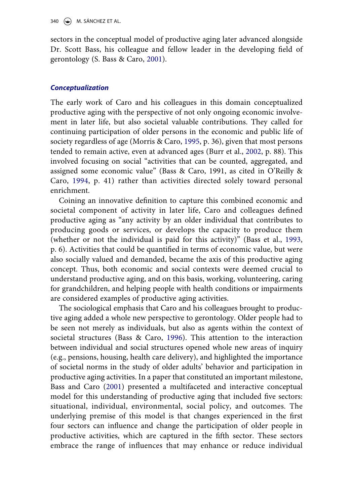sectors in the conceptual model of productive aging later advanced alongside Dr. Scott Bass, his colleague and fellow leader in the developing field of gerontology (S. Bass & Caro, [2001\)](#page-17-0).

# *Conceptualization*

<span id="page-5-4"></span><span id="page-5-3"></span>The early work of Caro and his colleagues in this domain conceptualized productive aging with the perspective of not only ongoing economic involvement in later life, but also societal valuable contributions. They called for continuing participation of older persons in the economic and public life of society regardless of age (Morris & Caro, [1995,](#page-19-9) p. 36), given that most persons tended to remain active, even at advanced ages (Burr et al., [2002,](#page-18-11) p. 88). This involved focusing on social "activities that can be counted, aggregated, and assigned some economic value" (Bass & Caro, 1991, as cited in O'Reilly & Caro, [1994,](#page-20-5) p. 41) rather than activities directed solely toward personal enrichment.

<span id="page-5-5"></span><span id="page-5-2"></span>Coining an innovative definition to capture this combined economic and societal component of activity in later life, Caro and colleagues defined productive aging as "any activity by an older individual that contributes to producing goods or services, or develops the capacity to produce them (whether or not the individual is paid for this activity)" (Bass et al., [1993](#page-17-1), p. 6). Activities that could be quantified in terms of economic value, but were also socially valued and demanded, became the axis of this productive aging concept. Thus, both economic and social contexts were deemed crucial to understand productive aging, and on this basis, working, volunteering, caring for grandchildren, and helping people with health conditions or impairments are considered examples of productive aging activities.

<span id="page-5-1"></span><span id="page-5-0"></span>The sociological emphasis that Caro and his colleagues brought to productive aging added a whole new perspective to gerontology. Older people had to be seen not merely as individuals, but also as agents within the context of societal structures (Bass & Caro, [1996](#page-17-2)). This attention to the interaction between individual and social structures opened whole new areas of inquiry (e.g., pensions, housing, health care delivery), and highlighted the importance of societal norms in the study of older adults' behavior and participation in productive aging activities. In a paper that constituted an important milestone, Bass and Caro [\(2001\)](#page-17-0) presented a multifaceted and interactive conceptual model for this understanding of productive aging that included five sectors: situational, individual, environmental, social policy, and outcomes. The underlying premise of this model is that changes experienced in the first four sectors can influence and change the participation of older people in productive activities, which are captured in the fifth sector. These sectors embrace the range of influences that may enhance or reduce individual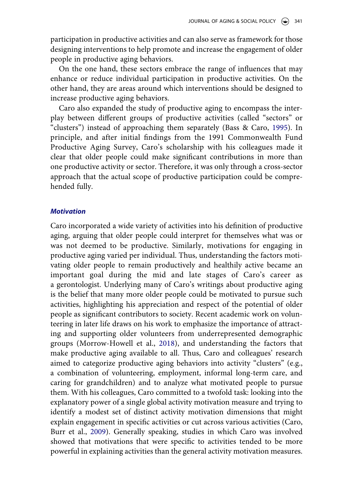participation in productive activities and can also serve as framework for those designing interventions to help promote and increase the engagement of older people in productive aging behaviors.

On the one hand, these sectors embrace the range of influences that may enhance or reduce individual participation in productive activities. On the other hand, they are areas around which interventions should be designed to increase productive aging behaviors.

<span id="page-6-0"></span>Caro also expanded the study of productive aging to encompass the interplay between different groups of productive activities (called "sectors" or "clusters") instead of approaching them separately (Bass & Caro, [1995\)](#page-17-3). In principle, and after initial findings from the 1991 Commonwealth Fund Productive Aging Survey, Caro's scholarship with his colleagues made it clear that older people could make significant contributions in more than one productive activity or sector. Therefore, it was only through a cross-sector approach that the actual scope of productive participation could be comprehended fully.

### *Motivation*

<span id="page-6-2"></span><span id="page-6-1"></span>Caro incorporated a wide variety of activities into his definition of productive aging, arguing that older people could interpret for themselves what was or was not deemed to be productive. Similarly, motivations for engaging in productive aging varied per individual. Thus, understanding the factors motivating older people to remain productively and healthily active became an important goal during the mid and late stages of Caro's career as a gerontologist. Underlying many of Caro's writings about productive aging is the belief that many more older people could be motivated to pursue such activities, highlighting his appreciation and respect of the potential of older people as significant contributors to society. Recent academic work on volunteering in later life draws on his work to emphasize the importance of attracting and supporting older volunteers from underrepresented demographic groups (Morrow-Howell et al., [2018](#page-20-6)), and understanding the factors that make productive aging available to all. Thus, Caro and colleagues' research aimed to categorize productive aging behaviors into activity "clusters" (e.g., a combination of volunteering, employment, informal long-term care, and caring for grandchildren) and to analyze what motivated people to pursue them. With his colleagues, Caro committed to a twofold task: looking into the explanatory power of a single global activity motivation measure and trying to identify a modest set of distinct activity motivation dimensions that might explain engagement in specific activities or cut across various activities (Caro, Burr et al., [2009\)](#page-18-12). Generally speaking, studies in which Caro was involved showed that motivations that were specific to activities tended to be more powerful in explaining activities than the general activity motivation measures.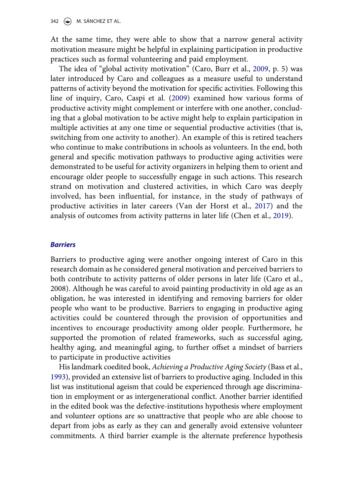342  $\left(\rightarrow\right)$  M. SÁNCHEZ ET AL.

At the same time, they were able to show that a narrow general activity motivation measure might be helpful in explaining participation in productive practices such as formal volunteering and paid employment.

<span id="page-7-0"></span>The idea of "global activity motivation" (Caro, Burr et al., [2009](#page-18-12), p. 5) was later introduced by Caro and colleagues as a measure useful to understand patterns of activity beyond the motivation for specific activities. Following this line of inquiry, Caro, Caspi et al. ([2009](#page-18-13)) examined how various forms of productive activity might complement or interfere with one another, concluding that a global motivation to be active might help to explain participation in multiple activities at any one time or sequential productive activities (that is, switching from one activity to another). An example of this is retired teachers who continue to make contributions in schools as volunteers. In the end, both general and specific motivation pathways to productive aging activities were demonstrated to be useful for activity organizers in helping them to orient and encourage older people to successfully engage in such actions. This research strand on motivation and clustered activities, in which Caro was deeply involved, has been influential, for instance, in the study of pathways of productive activities in later careers (Van der Horst et al., [2017\)](#page-21-4) and the analysis of outcomes from activity patterns in later life (Chen et al., [2019](#page-19-10)).

# <span id="page-7-2"></span><span id="page-7-1"></span>*Barriers*

Barriers to productive aging were another ongoing interest of Caro in this research domain as he considered general motivation and perceived barriers to both contribute to activity patterns of older persons in later life (Caro et al., 2008). Although he was careful to avoid painting productivity in old age as an obligation, he was interested in identifying and removing barriers for older people who want to be productive. Barriers to engaging in productive aging activities could be countered through the provision of opportunities and incentives to encourage productivity among older people. Furthermore, he supported the promotion of related frameworks, such as successful aging, healthy aging, and meaningful aging, to further offset a mindset of barriers to participate in productive activities

His landmark coedited book, *Achieving a Productive Aging Society* (Bass et al., [1993\)](#page-17-1), provided an extensive list of barriers to productive aging. Included in this list was institutional ageism that could be experienced through age discrimination in employment or as intergenerational conflict. Another barrier identified in the edited book was the defective-institutions hypothesis where employment and volunteer options are so unattractive that people who are able choose to depart from jobs as early as they can and generally avoid extensive volunteer commitments. A third barrier example is the alternate preference hypothesis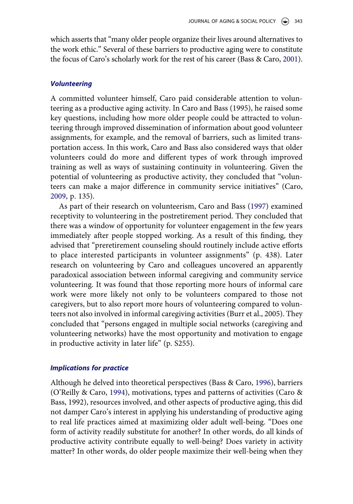which asserts that "many older people organize their lives around alternatives to the work ethic." Several of these barriers to productive aging were to constitute the focus of Caro's scholarly work for the rest of his career (Bass & Caro, [2001\)](#page-17-0).

#### *Volunteering*

A committed volunteer himself, Caro paid considerable attention to volunteering as a productive aging activity. In Caro and Bass (1995), he raised some key questions, including how more older people could be attracted to volunteering through improved dissemination of information about good volunteer assignments, for example, and the removal of barriers, such as limited transportation access. In this work, Caro and Bass also considered ways that older volunteers could do more and different types of work through improved training as well as ways of sustaining continuity in volunteering. Given the potential of volunteering as productive activity, they concluded that "volunteers can make a major difference in community service initiatives" (Caro, [2009](#page-18-12), p. 135).

As part of their research on volunteerism, Caro and Bass ([1997\)](#page-19-4) examined receptivity to volunteering in the postretirement period. They concluded that there was a window of opportunity for volunteer engagement in the few years immediately after people stopped working. As a result of this finding, they advised that "preretirement counseling should routinely include active efforts to place interested participants in volunteer assignments" (p. 438). Later research on volunteering by Caro and colleagues uncovered an apparently paradoxical association between informal caregiving and community service volunteering. It was found that those reporting more hours of informal care work were more likely not only to be volunteers compared to those not caregivers, but to also report more hours of volunteering compared to volunteers not also involved in informal caregiving activities (Burr et al., 2005). They concluded that "persons engaged in multiple social networks (caregiving and volunteering networks) have the most opportunity and motivation to engage in productive activity in later life" (p. S255).

#### *Implications for practice*

Although he delved into theoretical perspectives (Bass & Caro, [1996\)](#page-17-2), barriers (O'Reilly & Caro, [1994](#page-20-5)), motivations, types and patterns of activities (Caro & Bass, 1992), resources involved, and other aspects of productive aging, this did not damper Caro's interest in applying his understanding of productive aging to real life practices aimed at maximizing older adult well-being. "Does one form of activity readily substitute for another? In other words, do all kinds of productive activity contribute equally to well-being? Does variety in activity matter? In other words, do older people maximize their well-being when they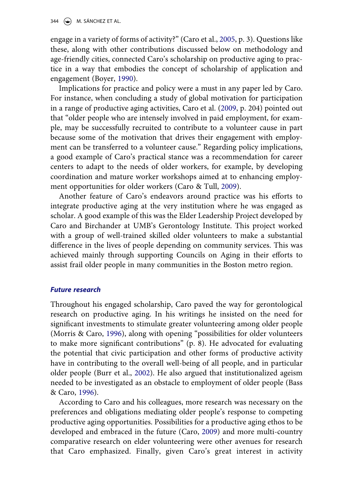<span id="page-9-1"></span>engage in a variety of forms of activity?" (Caro et al., [2005,](#page-18-14) p. 3). Questions like these, along with other contributions discussed below on methodology and age-friendly cities, connected Caro's scholarship on productive aging to practice in a way that embodies the concept of scholarship of application and engagement (Boyer, [1990](#page-18-15)).

<span id="page-9-0"></span>Implications for practice and policy were a must in any paper led by Caro. For instance, when concluding a study of global motivation for participation in a range of productive aging activities, Caro et al. [\(2009](#page-18-12), p. 204) pointed out that "older people who are intensely involved in paid employment, for example, may be successfully recruited to contribute to a volunteer cause in part because some of the motivation that drives their engagement with employment can be transferred to a volunteer cause." Regarding policy implications, a good example of Caro's practical stance was a recommendation for career centers to adapt to the needs of older workers, for example, by developing coordination and mature worker workshops aimed at to enhancing employment opportunities for older workers (Caro & Tull, [2009\)](#page-19-11).

<span id="page-9-2"></span>Another feature of Caro's endeavors around practice was his efforts to integrate productive aging at the very institution where he was engaged as scholar. A good example of this was the Elder Leadership Project developed by Caro and Birchander at UMB's Gerontology Institute. This project worked with a group of well-trained skilled older volunteers to make a substantial difference in the lives of people depending on community services. This was achieved mainly through supporting Councils on Aging in their efforts to assist frail older people in many communities in the Boston metro region.

#### *Future research*

<span id="page-9-3"></span>Throughout his engaged scholarship, Caro paved the way for gerontological research on productive aging. In his writings he insisted on the need for significant investments to stimulate greater volunteering among older people (Morris & Caro, [1996\)](#page-20-7), along with opening "possibilities for older volunteers to make more significant contributions" (p. 8). He advocated for evaluating the potential that civic participation and other forms of productive activity have in contributing to the overall well-being of all people, and in particular older people (Burr et al., [2002](#page-18-11)). He also argued that institutionalized ageism needed to be investigated as an obstacle to employment of older people (Bass & Caro, [1996](#page-17-2)).

According to Caro and his colleagues, more research was necessary on the preferences and obligations mediating older people's response to competing productive aging opportunities. Possibilities for a productive aging ethos to be developed and embraced in the future (Caro, [2009](#page-18-9)) and more multi-country comparative research on elder volunteering were other avenues for research that Caro emphasized. Finally, given Caro's great interest in activity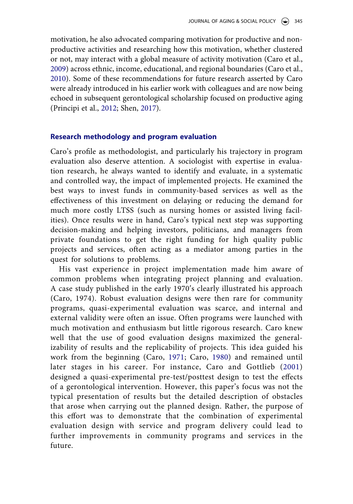<span id="page-10-1"></span>motivation, he also advocated comparing motivation for productive and nonproductive activities and researching how this motivation, whether clustered or not, may interact with a global measure of activity motivation (Caro et al., [2009](#page-18-12)) across ethnic, income, educational, and regional boundaries (Caro et al., [2010](#page-18-16)). Some of these recommendations for future research asserted by Caro were already introduced in his earlier work with colleagues and are now being echoed in subsequent gerontological scholarship focused on productive aging (Principi et al., [2012;](#page-20-8) Shen, [2017\)](#page-21-5).

#### <span id="page-10-3"></span>**Research methodology and program evaluation**

Caro's profile as methodologist, and particularly his trajectory in program evaluation also deserve attention. A sociologist with expertise in evaluation research, he always wanted to identify and evaluate, in a systematic and controlled way, the impact of implemented projects. He examined the best ways to invest funds in community-based services as well as the effectiveness of this investment on delaying or reducing the demand for much more costly LTSS (such as nursing homes or assisted living facilities). Once results were in hand, Caro's typical next step was supporting decision-making and helping investors, politicians, and managers from private foundations to get the right funding for high quality public projects and services, often acting as a mediator among parties in the quest for solutions to problems.

<span id="page-10-2"></span><span id="page-10-0"></span>His vast experience in project implementation made him aware of common problems when integrating project planning and evaluation. A case study published in the early 1970ʹs clearly illustrated his approach (Caro, 1974). Robust evaluation designs were then rare for community programs, quasi-experimental evaluation was scarce, and internal and external validity were often an issue. Often programs were launched with much motivation and enthusiasm but little rigorous research. Caro knew well that the use of good evaluation designs maximized the generalizability of results and the replicability of projects. This idea guided his work from the beginning (Caro, [1971](#page-18-17); Caro, [1980\)](#page-18-18) and remained until later stages in his career. For instance, Caro and Gottlieb ([2001\)](#page-18-19) designed a quasi-experimental pre-test/posttest design to test the effects of a gerontological intervention. However, this paper's focus was not the typical presentation of results but the detailed description of obstacles that arose when carrying out the planned design. Rather, the purpose of this effort was to demonstrate that the combination of experimental evaluation design with service and program delivery could lead to further improvements in community programs and services in the future.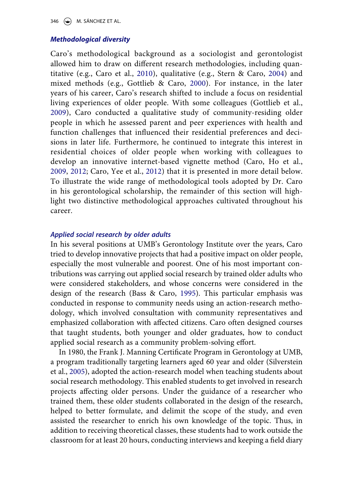346  $\left(\bigcirc\right)$  M. SÁNCHEZ ET AL.

### *Methodological diversity*

<span id="page-11-5"></span><span id="page-11-3"></span><span id="page-11-2"></span>Caro's methodological background as a sociologist and gerontologist allowed him to draw on different research methodologies, including quantitative (e.g., Caro et al., [2010](#page-18-16)), qualitative (e.g., Stern & Caro, [2004\)](#page-21-6) and mixed methods (e.g., Gottlieb & Caro, [2000\)](#page-19-12). For instance, in the later years of his career, Caro's research shifted to include a focus on residential living experiences of older people. With some colleagues (Gottlieb et al., [2009\)](#page-19-13), Caro conducted a qualitative study of community-residing older people in which he assessed parent and peer experiences with health and function challenges that influenced their residential preferences and decisions in later life. Furthermore, he continued to integrate this interest in residential choices of older people when working with colleagues to develop an innovative internet-based vignette method (Caro, Ho et al., [2009,](#page-19-14) [2012](#page-19-15); Caro, Yee et al., [2012\)](#page-19-6) that it is presented in more detail below. To illustrate the wide range of methodological tools adopted by Dr. Caro in his gerontological scholarship, the remainder of this section will highlight two distinctive methodological approaches cultivated throughout his career.

### <span id="page-11-1"></span><span id="page-11-0"></span>*Applied social research by older adults*

In his several positions at UMB's Gerontology Institute over the years, Caro tried to develop innovative projects that had a positive impact on older people, especially the most vulnerable and poorest. One of his most important contributions was carrying out applied social research by trained older adults who were considered stakeholders, and whose concerns were considered in the design of the research (Bass & Caro, [1995](#page-17-3)). This particular emphasis was conducted in response to community needs using an action-research methodology, which involved consultation with community representatives and emphasized collaboration with affected citizens. Caro often designed courses that taught students, both younger and older graduates, how to conduct applied social research as a community problem-solving effort.

<span id="page-11-4"></span>In 1980, the Frank J. Manning Certificate Program in Gerontology at UMB, a program traditionally targeting learners aged 60 year and older (Silverstein et al., [2005](#page-21-7)), adopted the action-research model when teaching students about social research methodology. This enabled students to get involved in research projects affecting older persons. Under the guidance of a researcher who trained them, these older students collaborated in the design of the research, helped to better formulate, and delimit the scope of the study, and even assisted the researcher to enrich his own knowledge of the topic. Thus, in addition to receiving theoretical classes, these students had to work outside the classroom for at least 20 hours, conducting interviews and keeping a field diary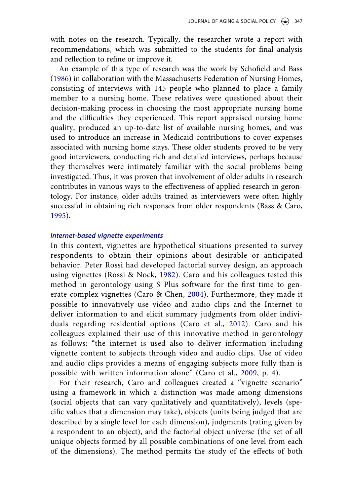with notes on the research. Typically, the researcher wrote a report with recommendations, which was submitted to the students for final analysis and reflection to refine or improve it.

<span id="page-12-3"></span>An example of this type of research was the work by Schofield and Bass ([1986](#page-21-8)) in collaboration with the Massachusetts Federation of Nursing Homes, consisting of interviews with 145 people who planned to place a family member to a nursing home. These relatives were questioned about their decision-making process in choosing the most appropriate nursing home and the difficulties they experienced. This report appraised nursing home quality, produced an up-to-date list of available nursing homes, and was used to introduce an increase in Medicaid contributions to cover expenses associated with nursing home stays. These older students proved to be very good interviewers, conducting rich and detailed interviews, perhaps because they themselves were intimately familiar with the social problems being investigated. Thus, it was proven that involvement of older adults in research contributes in various ways to the effectiveness of applied research in gerontology. For instance, older adults trained as interviewers were often highly successful in obtaining rich responses from older respondents (Bass & Caro, [1995](#page-17-3)).

### *Internet-based vignette experiments*

<span id="page-12-2"></span><span id="page-12-0"></span>In this context, vignettes are hypothetical situations presented to survey respondents to obtain their opinions about desirable or anticipated behavior. Peter Rossi had developed factorial survey design, an approach using vignettes (Rossi & Nock, [1982\)](#page-20-9). Caro and his colleagues tested this method in gerontology using S Plus software for the first time to generate complex vignettes (Caro & Chen, [2004\)](#page-18-20). Furthermore, they made it possible to innovatively use video and audio clips and the Internet to deliver information to and elicit summary judgments from older individuals regarding residential options (Caro et al., [2012](#page-19-16)). Caro and his colleagues explained their use of this innovative method in gerontology as follows: "the internet is used also to deliver information including vignette content to subjects through video and audio clips. Use of video and audio clips provides a means of engaging subjects more fully than is possible with written information alone" (Caro et al., [2009,](#page-18-9) p. 4).

<span id="page-12-1"></span>For their research, Caro and colleagues created a "vignette scenario" using a framework in which a distinction was made among dimensions (social objects that can vary qualitatively and quantitatively), levels (specific values that a dimension may take), objects (units being judged that are described by a single level for each dimension), judgments (rating given by a respondent to an object), and the factorial object universe (the set of all unique objects formed by all possible combinations of one level from each of the dimensions). The method permits the study of the effects of both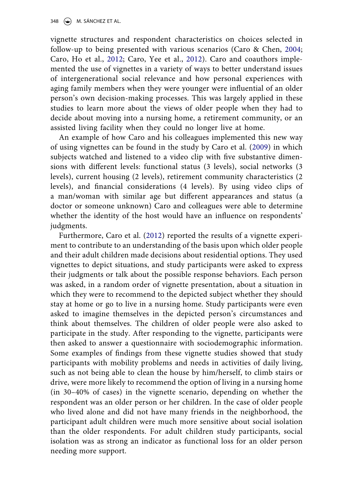vignette structures and respondent characteristics on choices selected in follow-up to being presented with various scenarios (Caro & Chen, [2004](#page-18-20); Caro, Ho et al., [2012](#page-19-15); Caro, Yee et al., [2012\)](#page-19-6). Caro and coauthors implemented the use of vignettes in a variety of ways to better understand issues of intergenerational social relevance and how personal experiences with aging family members when they were younger were influential of an older person's own decision-making processes. This was largely applied in these studies to learn more about the views of older people when they had to decide about moving into a nursing home, a retirement community, or an assisted living facility when they could no longer live at home.

An example of how Caro and his colleagues implemented this new way of using vignettes can be found in the study by Caro et al. ([2009\)](#page-18-9) in which subjects watched and listened to a video clip with five substantive dimensions with different levels: functional status (3 levels), social networks (3 levels), current housing (2 levels), retirement community characteristics (2 levels), and financial considerations (4 levels). By using video clips of a man/woman with similar age but different appearances and status (a doctor or someone unknown) Caro and colleagues were able to determine whether the identity of the host would have an influence on respondents' judgments.

Furthermore, Caro et al. ([2012](#page-19-16)) reported the results of a vignette experiment to contribute to an understanding of the basis upon which older people and their adult children made decisions about residential options. They used vignettes to depict situations, and study participants were asked to express their judgments or talk about the possible response behaviors. Each person was asked, in a random order of vignette presentation, about a situation in which they were to recommend to the depicted subject whether they should stay at home or go to live in a nursing home. Study participants were even asked to imagine themselves in the depicted person's circumstances and think about themselves. The children of older people were also asked to participate in the study. After responding to the vignette, participants were then asked to answer a questionnaire with sociodemographic information. Some examples of findings from these vignette studies showed that study participants with mobility problems and needs in activities of daily living, such as not being able to clean the house by him/herself, to climb stairs or drive, were more likely to recommend the option of living in a nursing home (in 30–40% of cases) in the vignette scenario, depending on whether the respondent was an older person or her children. In the case of older people who lived alone and did not have many friends in the neighborhood, the participant adult children were much more sensitive about social isolation than the older respondents. For adult children study participants, social isolation was as strong an indicator as functional loss for an older person needing more support.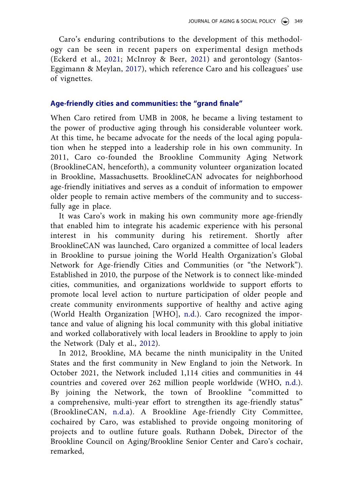<span id="page-14-0"></span>Caro's enduring contributions to the development of this methodology can be seen in recent papers on experimental design methods (Eckerd et al., [2021](#page-19-4); McInroy & Beer, [2021](#page-19-9)) and gerontology (Santos-Eggimann & Meylan, [2017](#page-20-10)), which reference Caro and his colleagues' use of vignettes.

# **Age-friendly cities and communities: the "grand finale"**

When Caro retired from UMB in 2008, he became a living testament to the power of productive aging through his considerable volunteer work. At this time, he became advocate for the needs of the local aging population when he stepped into a leadership role in his own community. In 2011, Caro co-founded the Brookline Community Aging Network (BrooklineCAN, henceforth), a community volunteer organization located in Brookline, Massachusetts. BrooklineCAN advocates for neighborhood age-friendly initiatives and serves as a conduit of information to empower older people to remain active members of the community and to successfully age in place.

It was Caro's work in making his own community more age-friendly that enabled him to integrate his academic experience with his personal interest in his community during his retirement. Shortly after BrooklineCAN was launched, Caro organized a committee of local leaders in Brookline to pursue joining the World Health Organization's Global Network for Age-friendly Cities and Communities (or "the Network"). Established in 2010, the purpose of the Network is to connect like-minded cities, communities, and organizations worldwide to support efforts to promote local level action to nurture participation of older people and create community environments supportive of healthy and active aging (World Health Organization [WHO], [n.d.\)](#page-21-9). Caro recognized the importance and value of aligning his local community with this global initiative and worked collaboratively with local leaders in Brookline to apply to join the Network (Daly et al., [2012\)](#page-19-6).

<span id="page-14-1"></span>In 2012, Brookline, MA became the ninth municipality in the United States and the first community in New England to join the Network. In October 2021, the Network included 1,114 cities and communities in 44 countries and covered over 262 million people worldwide (WHO, [n.d.](#page-21-6)). By joining the Network, the town of Brookline "committed to a comprehensive, multi-year effort to strengthen its age-friendly status" (BrooklineCAN, [n.d.a](#page-18-11)). A Brookline Age-friendly City Committee, cochaired by Caro, was established to provide ongoing monitoring of projects and to outline future goals. Ruthann Dobek, Director of the Brookline Council on Aging/Brookline Senior Center and Caro's cochair, remarked,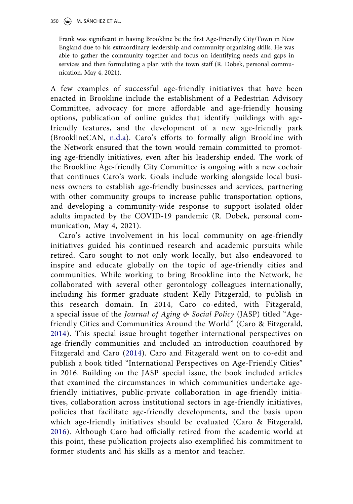Frank was significant in having Brookline be the first Age-Friendly City/Town in New England due to his extraordinary leadership and community organizing skills. He was able to gather the community together and focus on identifying needs and gaps in services and then formulating a plan with the town staff (R. Dobek, personal communication, May 4, 2021).

A few examples of successful age-friendly initiatives that have been enacted in Brookline include the establishment of a Pedestrian Advisory Committee, advocacy for more affordable and age-friendly housing options, publication of online guides that identify buildings with agefriendly features, and the development of a new age-friendly park (BrooklineCAN, [n.d.a\)](#page-18-11). Caro's efforts to formally align Brookline with the Network ensured that the town would remain committed to promoting age-friendly initiatives, even after his leadership ended. The work of the Brookline Age-friendly City Committee is ongoing with a new cochair that continues Caro's work. Goals include working alongside local business owners to establish age-friendly businesses and services, partnering with other community groups to increase public transportation options, and developing a community-wide response to support isolated older adults impacted by the COVID-19 pandemic (R. Dobek, personal communication, May 4, 2021).

Caro's active involvement in his local community on age-friendly initiatives guided his continued research and academic pursuits while retired. Caro sought to not only work locally, but also endeavored to inspire and educate globally on the topic of age-friendly cities and communities. While working to bring Brookline into the Network, he collaborated with several other gerontology colleagues internationally, including his former graduate student Kelly Fitzgerald, to publish in this research domain. In 2014, Caro co-edited, with Fitzgerald, a special issue of the *Journal of Aging & Social Policy* (JASP) titled "Agefriendly Cities and Communities Around the World" (Caro & Fitzgerald, [2014\)](#page-18-8). This special issue brought together international perspectives on age-friendly communities and included an introduction coauthored by Fitzgerald and Caro [\(2014](#page-19-7)). Caro and Fitzgerald went on to co-edit and publish a book titled "International Perspectives on Age-Friendly Cities" in 2016. Building on the JASP special issue, the book included articles that examined the circumstances in which communities undertake agefriendly initiatives, public-private collaboration in age-friendly initiatives, collaboration across institutional sectors in age-friendly initiatives, policies that facilitate age-friendly developments, and the basis upon which age-friendly initiatives should be evaluated (Caro & Fitzgerald, [2016\)](#page-19-14). Although Caro had officially retired from the academic world at this point, these publication projects also exemplified his commitment to former students and his skills as a mentor and teacher.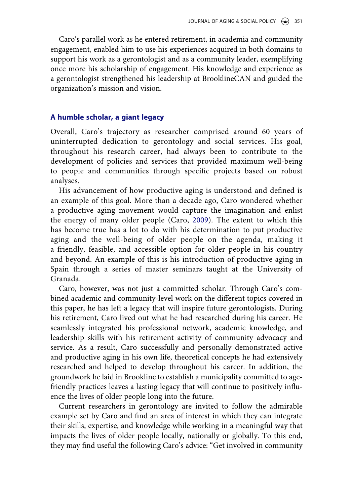Caro's parallel work as he entered retirement, in academia and community engagement, enabled him to use his experiences acquired in both domains to support his work as a gerontologist and as a community leader, exemplifying once more his scholarship of engagement. His knowledge and experience as a gerontologist strengthened his leadership at BrooklineCAN and guided the organization's mission and vision.

#### **A humble scholar, a giant legacy**

Overall, Caro's trajectory as researcher comprised around 60 years of uninterrupted dedication to gerontology and social services. His goal, throughout his research career, had always been to contribute to the development of policies and services that provided maximum well-being to people and communities through specific projects based on robust analyses.

His advancement of how productive aging is understood and defined is an example of this goal. More than a decade ago, Caro wondered whether a productive aging movement would capture the imagination and enlist the energy of many older people (Caro, [2009](#page-18-9)). The extent to which this has become true has a lot to do with his determination to put productive aging and the well-being of older people on the agenda, making it a friendly, feasible, and accessible option for older people in his country and beyond. An example of this is his introduction of productive aging in Spain through a series of master seminars taught at the University of Granada.

Caro, however, was not just a committed scholar. Through Caro's combined academic and community-level work on the different topics covered in this paper, he has left a legacy that will inspire future gerontologists. During his retirement, Caro lived out what he had researched during his career. He seamlessly integrated his professional network, academic knowledge, and leadership skills with his retirement activity of community advocacy and service. As a result, Caro successfully and personally demonstrated active and productive aging in his own life, theoretical concepts he had extensively researched and helped to develop throughout his career. In addition, the groundwork he laid in Brookline to establish a municipality committed to agefriendly practices leaves a lasting legacy that will continue to positively influence the lives of older people long into the future.

Current researchers in gerontology are invited to follow the admirable example set by Caro and find an area of interest in which they can integrate their skills, expertise, and knowledge while working in a meaningful way that impacts the lives of older people locally, nationally or globally. To this end, they may find useful the following Caro's advice: "Get involved in community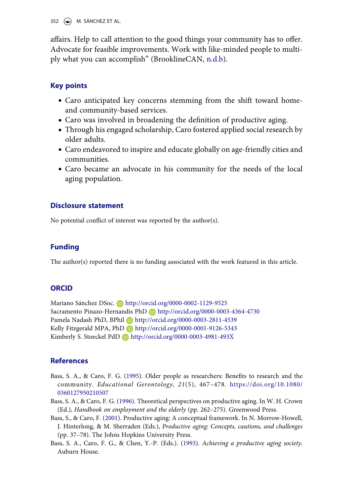352  $\leftrightarrow$  M. SÁNCHEZ ET AL.

affairs. Help to call attention to the good things your community has to offer. Advocate for feasible improvements. Work with like-minded people to multiply what you can accomplish" (BrooklineCAN, [n.d.b](#page-18-1)).

# **Key points**

- Caro anticipated key concerns stemming from the shift toward homeand community-based services.
- Caro was involved in broadening the definition of productive aging.
- Through his engaged scholarship, Caro fostered applied social research by older adults.
- Caro endeavored to inspire and educate globally on age-friendly cities and communities.
- Caro became an advocate in his community for the needs of the local aging population.

## **Disclosure statement**

No potential conflict of interest was reported by the author(s).

# **Funding**

The author(s) reported there is no funding associated with the work featured in this article.

#### **ORCID**

Mariano Sánchez DSoc. Dhttp://orcid.org/0000-0002-1129-9525 Sacramento Pinazo-Hernandis PhD D http://orcid.org/0000-0003-4364-4730 Pamela Nadash PhD, BPhil D http://orcid.org/0000-0003-2811-4539 Kelly Fitzgerald MPA, PhD http://orcid.org/0000-0001-9126-5343 Kimberly S. Stoeckel PdD http://orcid.org/0000-0003-4981-493X

# **References**

- <span id="page-17-3"></span>Bass, S. A., & Caro, F. G. [\(1995](#page-6-0)). Older people as researchers: Benefits to research and the community. *Educational Gerontology*, *21*(5), 467–478. [https://doi.org/10.1080/](https://doi.org/10.1080/0360127950210507)  [0360127950210507](https://doi.org/10.1080/0360127950210507)
- <span id="page-17-2"></span>Bass, S. A., & Caro, F. G. [\(1996](#page-5-0)). Theoretical perspectives on productive aging. In W. H. Crown (Ed.), *Handbook on employment and the elderly* (pp. 262–275). Greenwood Press.
- <span id="page-17-0"></span>Bass, S., & Caro, F. ([2001](#page-5-1)). Productive aging: A conceptual framework. In N. Morrow-Howell, J. Hinterlong, & M. Sherraden (Eds.), *Productive aging: Concepts, cautions, and challenges*  (pp. 37–78). The Johns Hopkins University Press.
- <span id="page-17-1"></span>Bass, S. A., Caro, F. G., & Chen, Y.-P. (Eds.). [\(1993\)](#page-5-2). *Achieving a productive aging society*. Auburn House.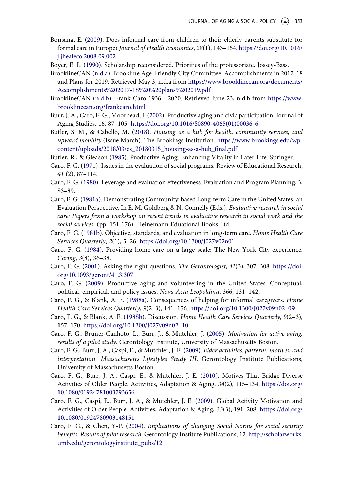- <span id="page-18-2"></span>Bonsang, E. ([2009\)](#page-2-0). Does informal care from children to their elderly parents substitute for formal care in Europe? *Journal of Health Economics*, *28*(1), 143–154. [https://doi.org/10.1016/](https://doi.org/10.1016/j.jhealeco.2008.09.002)  [j.jhealeco.2008.09.002](https://doi.org/10.1016/j.jhealeco.2008.09.002)
- <span id="page-18-15"></span>Boyer, E. L. ([1990\)](#page-9-0). Scholarship reconsidered. Priorities of the professoriate. Jossey-Bass.
- <span id="page-18-11"></span>BrooklineCAN [\(n.d.a\)](#page-5-3). Brookline Age-Friendly City Committee: Accomplishments in 2017-18 and Plans for 2019. Retrieved May 3, n.d.a from [https://www.brooklinecan.org/documents/](https://www.brooklinecan.org/documents/Accomplishments%202017-18%20%20plans%202019.pdf) [Accomplishments%202017-18%20%20plans%202019.pdf](https://www.brooklinecan.org/documents/Accomplishments%202017-18%20%20plans%202019.pdf)
- <span id="page-18-1"></span>BrooklineCAN [\(n.d.b](#page-2-1)). Frank Caro 1936 - 2020. Retrieved June 23, n.d.b from [https://www.](https://www.brooklinecan.org/frankcaro.html)  [brooklinecan.org/frankcaro.html](https://www.brooklinecan.org/frankcaro.html)
- <span id="page-18-10"></span>Burr, J. A., Caro, F. G., Moorhead, J. [\(2002](#page-4-0)). Productive aging and civic participation. Journal of Aging Studies, 16, 87–105. [https://doi.org/10.1016/S0890-4065\(01\)00036-6](https://doi.org/10.1016/S0890-4065(01)00036-6)
- <span id="page-18-17"></span>Butler, S. M., & Cabello, M. ([2018](#page-10-0)). *Housing as a hub for health, community services, and upward mobility* (Issue March). The Brookings Institution. [https://www.brookings.edu/wp](https://www.brookings.edu/wp-content/uploads/2018/03/es_20180315_housing-as-a-hub_final.pdf)[content/uploads/2018/03/es\\_20180315\\_housing-as-a-hub\\_final.pdf](https://www.brookings.edu/wp-content/uploads/2018/03/es_20180315_housing-as-a-hub_final.pdf)
- <span id="page-18-18"></span>Butler, R., & Gleason [\(1985\)](#page-10-0). Productive Aging: Enhancing Vitality in Later Life. Springer.
- <span id="page-18-5"></span>Caro, F. G. ([1971\)](#page-3-0). Issues in the evaluation of social programs. Review of Educational Research, *41* (2), 87–114.
- <span id="page-18-6"></span>Caro, F. G. ([1980](#page-3-1)). Leverage and evaluation effectiveness. Evaluation and Program Planning, 3, 83–89.
- <span id="page-18-0"></span>Caro, F. G. [\(1981a\)](#page-2-2). Demonstrating Community-based Long-term Care in the United States: an Evaluation Perspective. In E. M. Goldberg & N. Connelly (Eds.), *Evaluative research in social care: Papers from a workshop on recent trends in evaluative research in social work and the social services*. (pp. 151-176). Heinemann Eduational Books Ltd.
- <span id="page-18-7"></span>Caro, F. G. [\(1981b](#page-3-2)). Objective, standards, and evaluation in long-term care. *Home Health Care Services Quarterly*, *2*(1), 5–26. <https://doi.org/10.1300/J027v02n01>
- <span id="page-18-9"></span>Caro, F. G. ([1984\)](#page-4-1). Providing home care on a large scale: The New York City experience. *Caring*, *3*(8), 36–38.
- <span id="page-18-3"></span>Caro, F. G. ([2001](#page-2-3)). Asking the right questions. *The Gerontologist*, *41*(3), 307–308. [https://doi.](https://doi.org/10.1093/geront/41.3.307) [org/10.1093/geront/41.3.307](https://doi.org/10.1093/geront/41.3.307)
- <span id="page-18-4"></span>Caro, F. G. [\(2009\)](#page-3-3). Productive aging and volunteering in the United States. Conceptual, political, empirical, and policy issues. *Nova Acta Leopoldina*, 366, 131–142.
- <span id="page-18-14"></span>Caro, F. G., & Blank, A. E. ([1988a](#page-9-1)). Consequences of helping for informal caregivers. *Home Health Care Services Quarterly*, *9*(2–3), 141–156. [https://doi.org/10.1300/J027v09n02\\_09](https://doi.org/10.1300/J027v09n02_09)
- <span id="page-18-12"></span>Caro, F. G., & Blank, A. E. ([1988b\)](#page-6-1). Discussion. *Home Health Care Services Quarterly*, *9*(2–3), 157–170. [https://doi.org/10.1300/J027v09n02\\_10](https://doi.org/10.1300/J027v09n02_10)
- <span id="page-18-16"></span>Caro, F. G., Bruner-Canhoto, L., Burr, J., & Mutchler, J. ([2005\)](#page-10-1). *Motivation for active aging: results of a pilot study*. Gerontology Institute, University of Massachusetts Boston.
- <span id="page-18-13"></span>Caro, F. G., Burr, J. A., Caspi, E., & Mutchler, J. E. ([2009](#page-7-0)). *Elder activities: patterns, motives, and interpretation*. *Massachusetts Lifestyles Study III*. Gerontology Institute Publications, University of Massachusetts Boston.
- <span id="page-18-20"></span>Caro, F. G., Burr, J. A., Caspi, E., & Mutchler, J. E. [\(2010\)](#page-12-0). Motives That Bridge Diverse Activities of Older People. Activities, Adaptation & Aging, *34*(2), 115–134. [https://doi.org/](https://doi.org/10.1080/01924781003793656)  [10.1080/01924781003793656](https://doi.org/10.1080/01924781003793656)
- <span id="page-18-19"></span>Caro. F. G., Caspi, E., Burr, J. A., & Mutchler, J. E. ([2009](#page-10-2)). Global Activity Motivation and Activities of Older People. Activities, Adaptation & Aging, *33*(3), 191–208. [htttps://doi.org/](http://htttps://doi.org/10.1080/01924780903148151)  [10.1080/01924780903148151](http://htttps://doi.org/10.1080/01924780903148151)
- <span id="page-18-8"></span>Caro, F. G., & Chen, Y-P. [\(2004\)](#page-4-2). *Implications of changing Social Norms for social security benefits: Results of pilot research*. Gerontology Institute Publications, 12. [http://scholarworks.](http://scholarworks.umb.edu/gerontologyinstitute_pubs/12) [umb.edu/gerontologyinstitute\\_pubs/12](http://scholarworks.umb.edu/gerontologyinstitute_pubs/12)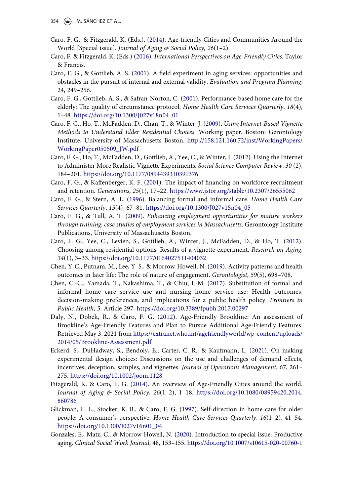- <span id="page-19-14"></span>Caro, F. G., & Fitzgerald, K. (Eds.). [\(2014\)](#page-11-0). Age-friendly Cities and Communities Around the World [Special issue]. *Journal of Aging & Social Policy*, *26*(1–2).
- <span id="page-19-15"></span>Caro, F. & Fitzgerald, K. (Eds.) [\(2016\)](#page-11-1). *International Perspectives on Age-Friendly Cities*. Taylor & Francis.
- <span id="page-19-5"></span>Caro, F. G., & Gottlieb, A. S. [\(2001](#page-4-3)). A field experiment in aging services: opportunities and obstacles in the pursuit of internal and external validity. *Evaluation and Program Planning*, 24, 249–256.
- <span id="page-19-2"></span>Caro, F. G., Gottlieb, A. S., & Safran-Norton, C. [\(2001](#page-2-3)). Performance-based home care for the elderly: The quality of circumstance protocol. *Home Health Care Services Quarterly*, *18*(4), 1–48. [https://doi.org/10.1300/J027v18n04\\_01](https://doi.org/10.1300/J027v18n04_01)
- <span id="page-19-11"></span>Caro, F. G., Ho, T., McFadden, D., Chan, T., & Winter, J. ([2009\)](#page-9-2). *Using Internet-Based Vignette Methods to Understand Elder Residential Choices*. Working paper. Boston: Gerontology Institute, University of Massachusetts Boston. [http://158.121.160.72/inst/WorkingPapers/](http://158.121.160.72/inst/WorkingPapers/WorkingPaper050509_JW.pdf)  [WorkingPaper050509\\_JW.pdf](http://158.121.160.72/inst/WorkingPapers/WorkingPaper050509_JW.pdf)
- <span id="page-19-16"></span>Caro, F. G., Ho, T., McFadden, D., Gottlieb, A., Yee, C., & Winter, J. [\(2012](#page-12-1)). Using the Internet to Administer More Realistic Vignette Experiments. *Social Science Computer Review*, *30* (2), 184–201. <https://doi.org/10.1177/0894439310391376>
- <span id="page-19-10"></span>Caro, F. G., & Kaffenberger, K. F. ([2001](#page-7-1)). The impact of financing on workforce recruitment and retention. *Generations*, *25*(1), 17–22. <https://www.jstor.org/stable/10.2307/26555062>
- <span id="page-19-1"></span>Caro, F. G., & Stern, A. L. ([1996\)](#page-2-0). Balancing formal and informal care. *Home Health Care Services Quarterly*, *15*(4), 67–81. [https://doi.org/10.1300/J027v15n04\\_05](https://doi.org/10.1300/J027v15n04_05)
- <span id="page-19-4"></span>Caro, F. G., & Tull, A. T. [\(2009\)](#page-3-4). *Enhancing employment opportunities for mature workers through training: case studies of employment services in Massachusetts*. Gerontology Institute Publications, University of Massachusetts Boston.
- <span id="page-19-6"></span>Caro, F. G., Yee, C., Levien, S., Gottlieb, A., Winter, J., McFadden, D., & Ho, T. [\(2012\)](#page-4-4). Choosing among residential options: Results of a vignette experiment. *Research on Aging*, *34*(1), 3–33. <https://doi.org/10.1177/0164027511404032>
- <span id="page-19-12"></span>Chen, Y-C., Putnam, M., Lee, Y. S., & Morrow-Howell, N. ([2019\)](#page-11-2). Activity patterns and health outcomes in later life: The role of nature of engagement. *Gerontologist*, *59*(5), 698–708.
- <span id="page-19-13"></span>Chen, C.-C., Yamada, T., Nakashima, T., & Chiu, I.-M. ([2017\)](#page-11-3). Substitution of formal and informal home care service use and nursing home service use: Health outcomes, decision-making preferences, and implications for a public health policy. *Frontiers in Public Health*, *5*. Article 297. <https://doi.org/10.3389/fpubh.2017.00297>
- <span id="page-19-0"></span>Daly, N., Dobek, R., & Caro, F. G. [\(2012](#page-2-4)). Age-Friendly Brookline: An assessment of Brookline's Age-Friendly Features and Plan to Pursue Additional Age-Friendly Features. Retrieved May 3, 2021 from [https://extranet.who.int/agefriendlyworld/wp-content/uploads/](https://extranet.who.int/agefriendlyworld/wp-content/uploads/2014/05/Brookline-Assessment.pdf) [2014/05/Brookline-Assessment.pdf](https://extranet.who.int/agefriendlyworld/wp-content/uploads/2014/05/Brookline-Assessment.pdf)
- <span id="page-19-7"></span>Eckerd, S., DuHadway, S., Bendoly, E., Carter, C. R., & Kaufmann, L. [\(2021\)](#page-4-4). On making experimental design choices: Discussions on the use and challenges of demand effects, incentives, deception, samples, and vignettes. *Journal of Operations Management*, 67, 261– 275. <https://doi.org/10.1002/joom.1128>
- <span id="page-19-9"></span>Fitzgerald, K. & Caro, F. G. [\(2014\)](#page-5-4). An overview of Age-Friendly Cities around the world. *Journal of Aging & Social Policy*, *26*(1–2), 1–18. [https://doi.org/10.1080/08959420.2014.](https://doi.org/10.1080/08959420.2014.860786) [860786](https://doi.org/10.1080/08959420.2014.860786)
- <span id="page-19-8"></span>Glickman, L. L., Stocker, K. B., & Caro, F. G. ([1997\)](#page-4-5). Self-direction in home care for older people: A consumer's perspective. *Home Health Care Services Quarterly*, *16*(1–2), 41–54. [https://doi.org/10.1300/J027v16n01\\_04](https://doi.org/10.1300/J027v16n01_04)
- <span id="page-19-3"></span>Gonzales, E., Matz, C., & Morrow-Howell, N. [\(2020](#page-2-3)). Introduction to special issue: Productive aging. *Clinical Social Work Journal*, 48, 153–155.<https://doi.org/10.1007/s10615-020-00760-1>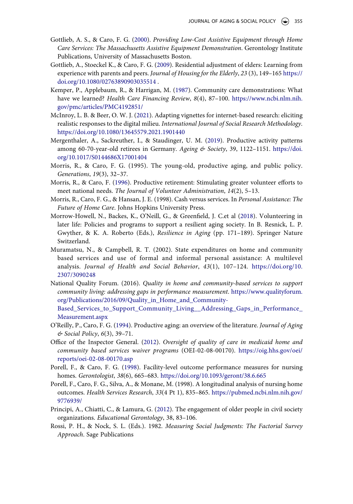- <span id="page-20-4"></span>Gottlieb, A. S., & Caro, F. G. ([2000\)](#page-3-5). *Providing Low-Cost Assistive Equipment through Home Care Services: The Massachusetts Assistive Equipment Demonstration*. Gerontology Institute Publications, University of Massachusetts Boston.
- <span id="page-20-6"></span>Gottlieb, A., Stoeckel K., & Caro, F. G. ([2009](#page-6-2)). Residential adjustment of elders: Learning from experience with parents and peers. *Journal of Housing for the Elderly*, *23* (3), 149–165 [https://](https://doi.org/10.1080/02763890903035514) [doi.org/10.1080/02763890903035514](https://doi.org/10.1080/02763890903035514) .
- <span id="page-20-3"></span>Kemper, P., Applebaum, R., & Harrigan, M. [\(1987\)](#page-2-5). Community care demonstrations: What have we learned? *Health Care Financing Review*, *8*(4), 87–100. [https://www.ncbi.nlm.nih.](https://www.ncbi.nlm.nih.gov/pmc/articles/PMC4192851/) [gov/pmc/articles/PMC4192851/](https://www.ncbi.nlm.nih.gov/pmc/articles/PMC4192851/)
- <span id="page-20-1"></span>McInroy, L. B. & Beer, O. W. J. ([2021](#page-2-6)). Adapting vignettes for internet-based research: eliciting realistic responses to the digital milieu. *International Journal of Social Research Methodology*. <https://doi.org/10.1080/13645579.2021.1901440>
- <span id="page-20-5"></span>Mergenthaler, A., Sackreuther, I., & Staudinger, U. M. [\(2019](#page-5-5)). Productive activity patterns among 60-70-year-old retirees in Germany. *Ageing & Society*, 39, 1122–1151. [https://doi.](https://doi.org/10.1017/S0144686X17001404) [org/10.1017/S0144686X17001404](https://doi.org/10.1017/S0144686X17001404)
- Morris, R., & Caro, F. G. (1995). The young-old, productive aging, and public policy. *Generations*, *19*(3), 32–37.
- <span id="page-20-7"></span>Morris, R., & Caro, F. ([1996](#page-9-3)). Productive retirement: Stimulating greater volunteer efforts to meet national needs. *The Journal of Volunteer Administration*, *14*(2), 5–13.
- Morris, R., Caro, F. G., & Hansan, J. E. (1998). Cash versus services. In *Personal Assistance: The Future of Home Care*. Johns Hopkins University Press.
- <span id="page-20-9"></span>Morrow-Howell, N., Backes, K., O'Neill, G., & Greenfield, J. C.et al [\(2018](#page-12-2)). Volunteering in later life: Policies and programs to support a resilient aging society. In B. Resnick, L. P. Gwyther, & K. A. Roberto (Eds.), *Resilience in Aging* (pp. 171–189). Springer Nature Switzerland.
- Muramatsu, N., & Campbell, R. T. (2002). State expenditures on home and community based services and use of formal and informal personal assistance: A multilevel analysis. *Journal of Health and Social Behavior*, *43*(1), 107–124. [https://doi.org/10.](https://doi.org/10.2307/3090248) [2307/3090248](https://doi.org/10.2307/3090248)
- National Quality Forum. (2016). *Quality in home and community-based services to support community living: addressing gaps in performance measurement*. [https://www.qualityforum.](https://www.qualityforum.org/Publications/2016/09/Quality_in_Home_and_Community-Based_Services_to_Support_Community_Living__Addressing_Gaps_in_Performance_Measurement.aspx)  [org/Publications/2016/09/Quality\\_in\\_Home\\_and\\_Community-](https://www.qualityforum.org/Publications/2016/09/Quality_in_Home_and_Community-Based_Services_to_Support_Community_Living__Addressing_Gaps_in_Performance_Measurement.aspx)[Based\\_Services\\_to\\_Support\\_Community\\_Living\\_\\_Addressing\\_Gaps\\_in\\_Performance\\_](https://www.qualityforum.org/Publications/2016/09/Quality_in_Home_and_Community-Based_Services_to_Support_Community_Living__Addressing_Gaps_in_Performance_Measurement.aspx)
- [Measurement.aspx](https://www.qualityforum.org/Publications/2016/09/Quality_in_Home_and_Community-Based_Services_to_Support_Community_Living__Addressing_Gaps_in_Performance_Measurement.aspx)
- <span id="page-20-10"></span>O'Reilly, P., Caro, F. G. [\(1994\)](#page-14-0). Productive aging: an overview of the literature. *Journal of Aging & Social Policy*, *6*(3), 39–71.
- <span id="page-20-2"></span>Office of the Inspector General. [\(2012](#page-2-7)). *Oversight of quality of care in medicaid home and community based services waiver programs* (OEI-02-08-00170). [https://oig.hhs.gov/oei/](https://oig.hhs.gov/oei/reports/oei-02-08-00170.asp) [reports/oei-02-08-00170.asp](https://oig.hhs.gov/oei/reports/oei-02-08-00170.asp)
- <span id="page-20-0"></span>Porell, F., & Caro, F. G. [\(1998](#page-1-0)). Facility-level outcome performance measures for nursing homes. *Gerontologist*, *38*(6), 665–683. <https://doi.org/10.1093/geront/38.6.665>
- Porell, F., Caro, F. G., Silva, A., & Monane, M. (1998). A longitudinal analysis of nursing home outcomes. *Health Services Research*, *33*(4 Pt 1), 835–865. [https://pubmed.ncbi.nlm.nih.gov/](https://pubmed.ncbi.nlm.nih.gov/9776939/)  [9776939/](https://pubmed.ncbi.nlm.nih.gov/9776939/)
- <span id="page-20-8"></span>Principi, A., Chiatti, C., & Lamura, G. ([2012](#page-10-3)). The engagement of older people in civil society organizations. *Educational Gerontology*, 38, 83–106.
- Rossi, P. H., & Nock, S. L. (Eds.). 1982. *Measuring Social Judgments: The Factorial Survey Approach*. Sage Publications